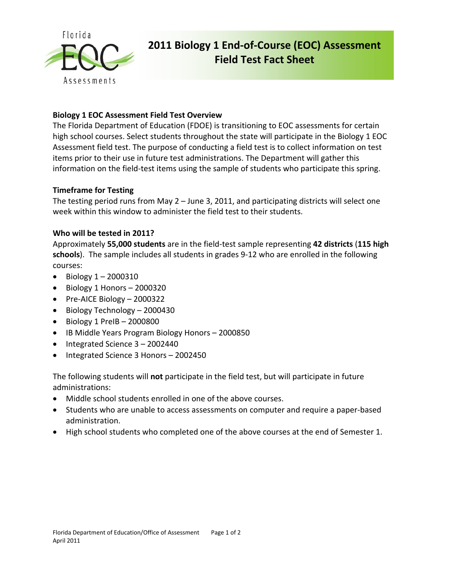

# **2011 Biology 1 End‐of‐Course (EOC) Assessment Field Test Fact Sheet**

## **Biology 1 EOC Assessment Field Test Overview**

The Florida Department of Education (FDOE) is transitioning to EOC assessments for certain high school courses. Select students throughout the state will participate in the Biology 1 EOC Assessment field test. The purpose of conducting a field test is to collect information on test items prior to their use in future test administrations. The Department will gather this information on the field-test items using the sample of students who participate this spring.

### **Timeframe for Testing**

The testing period runs from May 2 – June 3, 2011, and participating districts will select one week within this window to administer the field test to their students.

### **Who will be tested in 2011?**

Approximately **55,000 students** are in the field‐test sample representing **42 districts** (**115 high** schools). The sample includes all students in grades 9-12 who are enrolled in the following courses:

- $\bullet$  Biology  $1 2000310$
- $\bullet$  Biology 1 Honors 2000320
- Pre-AICE Biology 2000322
- Biology Technology 2000430
- $\bullet$  Biology 1 PreIB 2000800
- IB Middle Years Program Biology Honors 2000850
- $\bullet$  Integrated Science  $3 2002440$
- Integrated Science 3 Honors 2002450

The following students will **not** participate in the field test, but will participate in future administrations:

- Middle school students enrolled in one of the above courses.
- Students who are unable to access assessments on computer and require a paper-based administration.
- High school students who completed one of the above courses at the end of Semester 1.